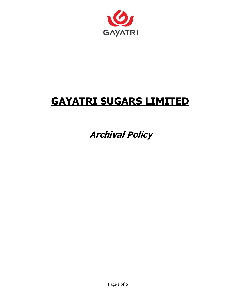

# **GAYATRI SUGARS LIMITED**

 **Archival Policy**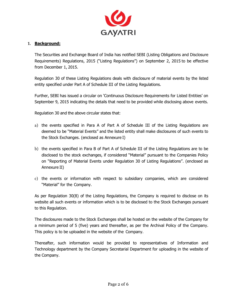

#### **1. Background:**

The Securities and Exchange Board of India has notified SEBI (Listing Obligations and Disclosure Requirements) Regulations, 2015 ("Listing Regulations") on September 2, 2015 to be effective from December 1, 2015.

Regulation 30 of these Listing Regulations deals with disclosure of material events by the listed entity specified under Part A of Schedule III of the Listing Regulations.

Further, SEBI has issued a circular on 'Continuous Disclosure Requirements for Listed Entities' on September 9, 2015 indicating the details that need to be provided while disclosing above events.

Regulation 30 and the above circular states that:

- a) the events specified in Para A of Part A of Schedule III of the Listing Regulations are deemed to be "Material Events" and the listed entity shall make disclosures of such events to the Stock Exchanges. (enclosed as Annexure I)
- b) the events specified in Para B of Part A of Schedule III of the Listing Regulations are to be disclosed to the stock exchanges, if considered "Material" pursuant to the Companies Policy on "Reporting of Material Events under Regulation 30 of Listing Regulations". (enclosed as Annexure II)
- c) the events or information with respect to subsidiary companies, which are considered "Material" for the Company.

As per Regulation 30(8) of the Listing Regulations, the Company is required to disclose on its website all such events or information which is to be disclosed to the Stock Exchanges pursuant to this Regulation.

The disclosures made to the Stock Exchanges shall be hosted on the website of the Company for a minimum period of 5 (five) years and thereafter, as per the Archival Policy of the Company. This policy is to be uploaded in the website of the Company.

Thereafter, such information would be provided to representatives of Information and Technology department by the Company Secretarial Department for uploading in the website of the Company.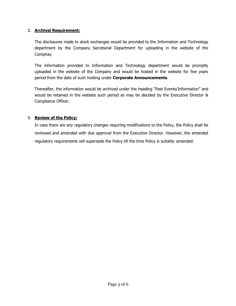### **2. Archival Requirement:**

The disclosures made to stock exchanges would be provided to the Information and Technology department by the Company Secretarial Department for uploading in the website of the Compnay.

The information provided to Information and Technology department would be promptly uploaded in the website of the Company and would be hosted in the website for five years period from the date of such hosting under **Corporate Announcements**.

Thereafter, the information would be archived under the heading "Past Events/Information" and would be retained in the website such period as may be decided by the Executive Director & Compliance Officer.

## **3. Review of the Policy:**

In case there are any regulatory changes requiring modifications to the Policy, the Policy shall be reviewed and amended with due approval from the Executive Director. However, the amended regulatory requirements will supersede the Policy till the time Policy is suitably amended.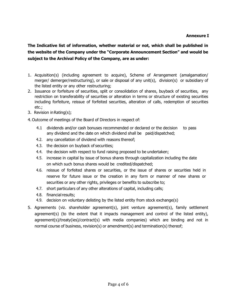## **Annexure I**

**The Indicative list of information, whether material or not, which shall be published in the website of the Company under the "Corporate Announcement Section" and would be subject to the Archival Policy of the Company, are as under:**

- 1. Acquisition(s) (including agreement to acquire), Scheme of Arrangement (amalgamation/ merger/ demerger/restructuring), or sale or disposal of any unit(s), division(s) or subsidiary of the listed entity or any other restructuring;
- 2. Issuance or forfeiture of securities, split or consolidation of shares, buyback of securities, any restriction on transferability of securities or alteration in terms or structure of existing securities including forfeiture, reissue of forfeited securities, alteration of calls, redemption of securities etc.;
- 3. Revision in Rating(s);
- 4.Outcome of meetings of the Board of Directors in respect of:
	- 4.1 dividends and/or cash bonuses recommended or declared or the decision to pass any dividend and the date on which dividend shall be paid/dispatched;
	- 4.2. any cancellation of dividend with reasons thereof;
	- 4.3. the decision on buyback of securities;
	- 4.4. the decision with respect to fund raising proposed to be undertaken;
	- 4.5. increase in capital by issue of bonus shares through capitalization including the date on which such bonus shares would be credited/dispatched;
	- 4.6. reissue of forfeited shares or securities, or the issue of shares or securities held in reserve for future issue or the creation in any form or manner of new shares or securities or any other rights, privileges or benefits to subscribe to;
	- 4.7. short particulars of any other alterations of capital, including calls;
	- 4.8. financial results;
	- 4.9. decision on voluntary delisting by the listed entity from stock exchange(s)
- 5. Agreements (viz. shareholder agreement(s), joint venture agreement(s), family settlement agreement(s) (to the extent that it impacts management and control of the listed entity), agreement(s)/treaty(ies)/contract(s) with media companies) which are binding and not in normal course of business, revision(s) or amendment(s) and termination(s) thereof;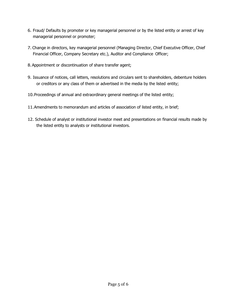- 6. Fraud/ Defaults by promoter or key managerial personnel or by the listed entity or arrest of key managerial personnel or promoter;
- 7. Change in directors, key managerial personnel (Managing Director, Chief Executive Officer, Chief Financial Officer, Company Secretary etc.), Auditor and Compliance Officer;
- 8.Appointment or discontinuation of share transfer agent;
- 9. Issuance of notices, call letters, resolutions and circulars sent to shareholders, debenture holders or creditors or any class of them or advertised in the media by the listed entity;
- 10.Proceedings of annual and extraordinary general meetings of the listed entity;
- 11.Amendments to memorandum and articles of association of listed entity, in brief;
- 12. Schedule of analyst or institutional investor meet and presentations on financial results made by the listed entity to analysts or institutional investors.